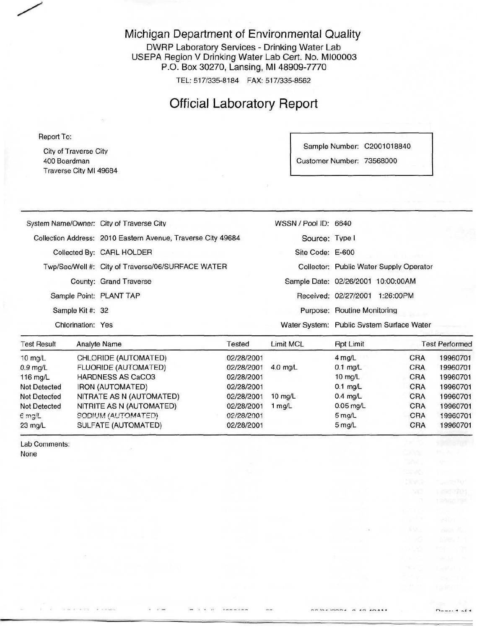#### Michigan Department of Environmental Quality

DWRP Laboratory Services - Drinking Water Lab USEPA Region V Drinking Water Lab Cert. No. MI00003 P.O. Box 30270, Lansing, Ml 48909-7770

TEL: 517/335-8184 FAX: 517/335-8562

## Official Laboratory Report

Report To:

City of Traverse City 400 Boardman Traverse City Ml 49684

Sample Number: C2001018840 Customer Number: 73568000

|                                          | The contract of the second contract of the contract of the contract of the contract of | the first service of the control of the control of the control of<br>and the control of the control of the con- | seems the control of the control and the  |  |
|------------------------------------------|----------------------------------------------------------------------------------------|-----------------------------------------------------------------------------------------------------------------|-------------------------------------------|--|
| Chlorination: Yes                        |                                                                                        |                                                                                                                 | Water System: Public System Surface Water |  |
| Sample Kit #: 32                         |                                                                                        |                                                                                                                 | Purpose: Routine Monitoring               |  |
| Sample Point: PLANT TAP                  |                                                                                        |                                                                                                                 | Received: 02/27/2001 1:26:00PM            |  |
|                                          | County: Grand Traverse                                                                 |                                                                                                                 | Sample Date: 02/26/2001 10:00:00AM        |  |
|                                          | Twp/Sec/Well #: City of Traverse/06/SURFACE WATER                                      |                                                                                                                 | Collector: Public Water Supply Operator   |  |
|                                          | Collected By: CARL HOLDER                                                              | Site Code: E-600                                                                                                |                                           |  |
|                                          | Collection Address: 2010 Eastern Avenue, Traverse City 49684                           | Source: Type I                                                                                                  |                                           |  |
| System Name/Owner: City of Traverse City |                                                                                        | WSSN / Pool ID: 6640                                                                                            |                                           |  |
|                                          |                                                                                        |                                                                                                                 |                                           |  |

| <b>Test Result</b>  | Analyte Name                | Tested     | Limit MCL          | <b>Rpt Limit</b>   |            | <b>Test Performed</b> |
|---------------------|-----------------------------|------------|--------------------|--------------------|------------|-----------------------|
| 10 mg/L             | CHLORIDE (AUTOMATED)        | 02/28/2001 |                    | 4 mg/L             | CRA        | 19960701              |
| $0.9$ mg/L          | <b>FLUORIDE (AUTOMATED)</b> | 02/28/2001 | $4.0$ ma/L         | $0.1$ mg/L         | <b>CRA</b> | 19960701              |
| 116 $mq/L$          | <b>HARDNESS AS CaCO3</b>    | 02/28/2001 |                    | $10 \text{ mg/L}$  | CRA        | 19960701              |
| <b>Not Detected</b> | <b>IRON (AUTOMATED)</b>     | 02/28/2001 |                    | $0.1$ mg/L         | CRA        | 19960701              |
| <b>Not Detected</b> | NITRATE AS N (AUTOMATED)    | 02/28/2001 | $10 \text{ rad/L}$ | $0.4 \text{ mq/L}$ | CRA        | 19960701              |
| <b>Not Detected</b> | NITRITE AS N (AUTOMATED)    | 02/28/2001 | mq/L               | $0.05$ mg/L        | <b>CRA</b> | 19960701              |
| $6 \text{ mg/L}$    | SODIUM (AUTOMATED)          | 02/28/2001 |                    | $5 \text{ rad}$    | CRA        | 19960701              |
| $23 \text{ mg/L}$   | SULFATE (AUTOMATED)         | 02/28/2001 |                    | $5 \text{ mg/L}$   | <b>CRA</b> | 19960701              |

Lab Comments: None

 $D_{\text{max}}$   $A \rightarrow I$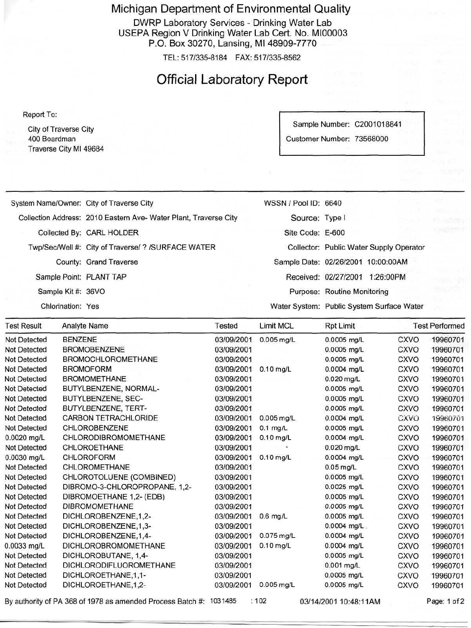Michigan Department of Environmental Quality

DWRP Laboratory Services - Drinking Water Lab USEPA Region V Drinking Water Lab Cert. No. MI00003 P.O. Box 30270, Lansing, Ml 48909-7770

TEL: 517/335-8184 FAX: 517/335-8562

### Official Laboratory Report

Report To:

City of Traverse City 400 Boardman Traverse City Ml 49684 Sample Number: C2001018841

Customer Number: 73568000

|                     |                    | System Name/Owner: City of Traverse City                           |            | WSSN / Pool ID: 6640 |                                    |                                           | 935                      |
|---------------------|--------------------|--------------------------------------------------------------------|------------|----------------------|------------------------------------|-------------------------------------------|--------------------------|
|                     |                    | Collection Address: 2010 Eastern Ave- Water Plant, Traverse City   |            | Source: Type I       |                                    |                                           | <b>MOULA</b><br>2012-281 |
|                     |                    | Collected By: CARL HOLDER                                          |            | Site Code: E-600     |                                    |                                           | 590070                   |
|                     |                    | Twp/Sec/Well #: City of Traverse/ ? /SURFACE WATER                 |            |                      |                                    | Collector: Public Water Supply Operator   |                          |
|                     |                    |                                                                    |            |                      |                                    |                                           |                          |
|                     |                    | County: Grand Traverse                                             |            |                      | Sample Date: 02/26/2001 10:00:00AM |                                           |                          |
|                     |                    | Sample Point: PLANT TAP                                            |            |                      | Received: 02/27/2001 1:26:00PM     |                                           |                          |
|                     | Sample Kit #: 36VO |                                                                    |            |                      | Purpose: Routine Monitoring        |                                           | 데 가고 가격                  |
|                     | Chlorination: Yes  |                                                                    |            |                      |                                    | Water System: Public System Surface Water |                          |
| <b>Test Result</b>  |                    | Analyte Name                                                       | Tested     | Limit MCL            | <b>Rpt Limit</b>                   |                                           | <b>Test Performed</b>    |
| Not Detected        | BENZENE            |                                                                    | 03/09/2001 | $0.005$ mg/L         | 0.0005 mg/L                        | <b>CXVO</b>                               | 19960701                 |
| Not Detected        |                    | <b>BROMOBENZENE</b>                                                | 03/09/2001 |                      | 0.0005 mg/L                        | <b>CXVO</b>                               | 19960701                 |
| Not Detected        |                    | <b>BROMOCHLOROMETHANE</b>                                          | 03/09/2001 |                      | 0.0005 mg/L                        | <b>CXVO</b>                               | 19960701                 |
| Not Detected        |                    | <b>BROMOFORM</b>                                                   | 03/09/2001 | $0.10$ mg/L          | 0.0004 mg/L                        | <b>CXVO</b>                               | 19960701                 |
| Not Detected        |                    | <b>BROMOMETHANE</b>                                                | 03/09/2001 |                      | 0.020 mg/L                         | <b>CXVO</b>                               | 19960701                 |
| Not Detected        |                    | BUTYLBENZENE, NORMAL-                                              | 03/09/2001 |                      | 0.0005 mg/L                        | <b>CXVO</b>                               | 19960701                 |
| <b>Not Detected</b> |                    | BUTYLBENZENE, SEC-                                                 | 03/09/2001 |                      | 0.0005 mg/L                        | <b>CXVO</b>                               | 19960701                 |
| Not Detected        |                    | BUTYLBENZENE, TERT-                                                | 03/09/2001 |                      | 0.0005 mg/L                        | <b>CXVO</b>                               | 19960701                 |
| Not Detected        |                    | CARBON TETRACHLORIDE                                               | 03/09/2001 | $0.005$ mg/L         | 0.0004 mg/L                        | CXVO                                      | 19960701                 |
| <b>Not Detected</b> |                    | CHLOROBENZENE                                                      | 03/09/2001 | $0.1$ mg/L           | 0.0005 mg/L                        | <b>CXVO</b>                               | 19960701                 |
| 0.0020 mg/L         |                    | CHLORODIBROMOMETHANE                                               | 03/09/2001 | $0.10$ mg/L          | 0.0004 mg/L                        | <b>CXVO</b>                               | 19960701                 |
| <b>Not Detected</b> |                    | CHLOROETHANE                                                       | 03/09/2001 |                      | $0.020$ mg/L                       | <b>CXVO</b>                               | 19960701                 |
| 0.0030 mg/L         |                    | CHLOROFORM                                                         | 03/09/2001 | $0.10$ mg/L          | 0.0004 mg/L                        | <b>CXVO</b>                               | 19960701                 |
| Not Detected        |                    | CHLOROMETHANE                                                      | 03/09/2001 |                      | $0.05$ mg/L                        | <b>CXVO</b>                               | 19960701                 |
| Not Detected        |                    | CHLOROTOLUENE (COMBINED)                                           | 03/09/2001 |                      | 0.0005 mg/L                        | <b>CXVO</b>                               | 19960701                 |
| Not Detected        |                    | DIBROMO-3-CHLOROPROPANE, 1,2-                                      | 03/09/2001 |                      | 0.0025 mg/L                        | CXVO                                      | 19960701                 |
| Not Detected        |                    | DIBROMOETHANE 1,2- (EDB)                                           | 03/09/2001 |                      | 0.0005 mg/L                        | CXVO                                      | 19960701                 |
| Not Detected        |                    | <b>DIBROMOMETHANE</b>                                              | 03/09/2001 |                      | 0.0005 mg/L                        | CXVO                                      | 19960701                 |
| Not Detected        |                    | DICHLOROBENZENE,1,2-                                               | 03/09/2001 | $0.6$ mg/L           | 0.0005 mg/L                        | <b>CXVO</b>                               | 19960701                 |
| Not Detected        |                    | DICHLOROBENZENE,1,3-                                               | 03/09/2001 |                      | $0.0004$ mg/L.                     | <b>CXVO</b>                               | 19960701                 |
| Not Detected        |                    | DICHLOROBENZENE, 1,4-                                              | 03/09/2001 | $0.075$ mg/L         | 0.0004 mg/L                        | <b>CXVO</b>                               | 19960701                 |
| 0.0033 mg/L         |                    | DICHLOROBROMOMETHANE                                               | 03/09/2001 | $0.10$ mg/L          | 0.0004 mg/L                        | <b>CXVO</b>                               | 19960701                 |
| Not Detected        |                    | DICHLOROBUTANE, 1,4-                                               | 03/09/2001 |                      | 0.0005 mg/L                        | <b>CXVO</b>                               | 19960701                 |
| Not Detected        |                    | DICHLORODIFLUOROMETHANE                                            | 03/09/2001 |                      | 0.001 mg/L                         | <b>CXVO</b>                               | 19960701                 |
| Not Detected        |                    | DICHLOROETHANE, 1, 1-                                              | 03/09/2001 |                      | 0.0005 mg/L                        | <b>CXVO</b>                               | 19960701                 |
| Not Detected        |                    | DICHLOROETHANE, 1, 2-                                              | 03/09/2001 | $0.005$ mg/L         | 0.0005 mg/L                        | <b>CXVO</b>                               | 19960701                 |
|                     |                    | By authority of PA 368 of 1978 as amended Process Batch #: 1031485 |            | :102                 | 03/14/2001 10:48:11AM              |                                           | Page: 1 of 2             |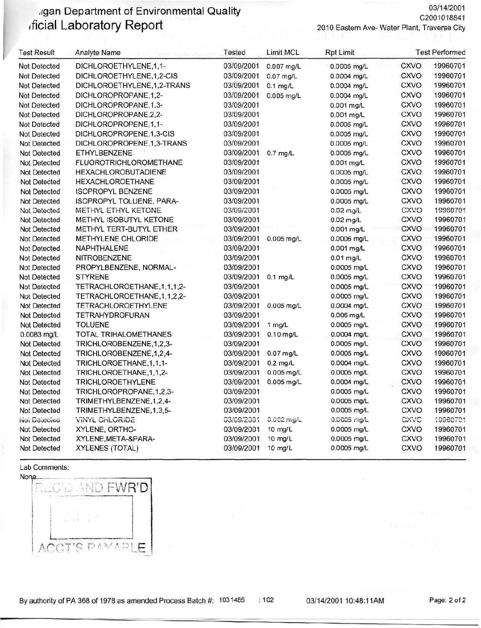### .igan Department of Environmental Quality ificial Laboratory Report

C2001018841 2010 Eastern Ave- Water Plant, Traverse City

03/14/2001

| <b>Test Result</b>  | <b>Analyte Name</b>            | Tested     | Limit MCL    | <b>Rpt Limit</b> |             | <b>Test Performed</b> |
|---------------------|--------------------------------|------------|--------------|------------------|-------------|-----------------------|
| Not Detected        | DICHLOROETHYLENE,1,1-          | 03/09/2001 | 0.007 mg/L   | 0.0005 mg/L      | <b>CXVO</b> | 19960701              |
| <b>Not Detected</b> | DICHLOROETHYLENE,1,2-CIS       | 03/09/2001 | $0.07$ mg/L  | 0.0004 mg/L      | <b>CXVO</b> | 19960701              |
| <b>Not Detected</b> | DICHLOROETHYLENE,1,2-TRANS     | 03/09/2001 | $0.1$ mg/L   | 0.0004 mg/L      | <b>CXVO</b> | 19960701              |
| Not Detected        | DICHLOROPROPANE, 1,2-          | 03/09/2001 | $0.005$ mg/L | 0.0004 mg/L      | <b>CXVO</b> | 19960701              |
| Not Detected        | DICHLOROPROPANE, 1, 3-         | 03/09/2001 |              | 0.001 mg/L       | <b>CXVO</b> | 19960701              |
| Not Detected        | DICHLOROPROPANE, 2, 2-         | 03/09/2001 |              | 0.001 mg/L       | <b>CXVO</b> | 19960701              |
| <b>Not Detected</b> | DICHLOROPROPENE, 1, 1-         | 03/09/2001 |              | 0.0005 mg/L      | CXVO        | 19960701              |
| <b>Not Detected</b> | DICHLOROPROPENE, 1, 3-CIS      | 03/09/2001 |              | 0.0005 mg/L      | <b>CXVO</b> | 19960701              |
| Not Detected        | DICHLOROPROPENE, 1, 3-TRANS    | 03/09/2001 |              | 0.0005 mg/L      | <b>CXVO</b> | 19960701              |
| <b>Not Detected</b> | ETHYLBENZENE                   | 03/09/2001 | $0.7$ mg/L   | 0.0005 mg/L      | <b>CXVO</b> | 19960701              |
| <b>Not Detected</b> | <b>FLUOROTRICHLOROMETHANE</b>  | 03/09/2001 |              | 0.001 mg/L       | CXVO        | 19960701              |
| <b>Not Detected</b> | <b>HEXACHLOROBUTADIENE</b>     | 03/09/2001 |              | 0.0005 mg/L      | <b>CXVO</b> | 19960701              |
| Not Detected        | <b>HEXACHLOROETHANE</b>        | 03/09/2001 |              | 0.0005 mg/L      | <b>CXVO</b> | 19960701              |
| <b>Not Detected</b> | <b>ISOPROPYL BENZENE</b>       | 03/09/2001 |              | 0.0005 mg/L      | <b>CXVO</b> | 19960701              |
| Not Detected        | ISOPROPYL TOLUENE, PARA-       | 03/09/2001 |              | 0.0005 mg/L      | <b>CXVO</b> | 19960701              |
| Not Detected        | METHYL ETHYL KETONE            | 03/09/2001 |              | 0.02 mg/L        | CXVO        | 19960701              |
| Not Detected        | METHYL ISOBUTYL KETONE         | 03/09/2001 |              | $0.02$ mg/L      | <b>CXVO</b> | 19960701              |
| Not Detected        | METHYL TERT-BUTYL ETHER        | 03/09/2001 |              | 0.001 mg/L       | CXVO        | 19960701              |
| Not Detected        | <b>METHYLENE CHLORIDE</b>      | 03/09/2001 | 0.005 mg/L   | 0.0006 mg/L      | <b>CXVO</b> | 19960701              |
| <b>Not Detected</b> | NAPHTHALENE                    | 03/09/2001 |              | 0.001 mg/L       | <b>CXVO</b> | 19960701              |
| <b>Not Detected</b> | NITROBENZENE                   | 03/09/2001 |              | 0.01 mg/L        | CXVO        | 19960701              |
| Not Detected        | PROPYLBENZENE, NORMAL-         | 03/09/2001 |              | 0.0005 mg/L      | CXVO        | 19960701              |
| Not Detected        | <b>STYRENE</b>                 | 03/09/2001 | $0.1$ mg/L   | 0.0005 mg/L      | <b>CXVO</b> | 19960701              |
| <b>Not Detected</b> | TETRACHLOROETHANE, 1, 1, 1, 2- | 03/09/2001 |              | 0.0005 mg/L      | <b>CXVO</b> | 19960701              |
| <b>Not Detected</b> | TETRACHLOROETHANE, 1, 1, 2, 2- | 03/09/2001 |              | 0.0005 mg/L      | <b>CXVO</b> | 19960701              |
| Not Detected        | TETRACHLOROETHYLENE            | 03/09/2001 | 0.005 mg/L   | 0.0004 mg/L      | <b>CXVO</b> | 19960701              |
| <b>Not Detected</b> | <b>TETRAHYDROFURAN</b>         | 03/09/2001 |              | 0.005 mg/L       | <b>CXVO</b> | 19960701              |
| Not Detected        | <b>TOLUENE</b>                 | 03/09/2001 | 1 mg/L       | 0.0005 mg/L      | CXVO        | 19960701              |
| 0.0083 mg/L         | TOTAL TRIHALOMETHANES          | 03/09/2001 | $0.10$ mg/L  | 0.0004 mg/L      | <b>CXVO</b> | 19960701              |
| Not Detected        | TRICHLOROBENZENE, 1, 2, 3-     | 03/09/2001 |              | 0.0005 mg/L      | <b>CXVO</b> | 19960701              |
| Not Detected        | TRICHLOROBENZENE, 1, 2, 4-     | 03/09/2001 | $0.07$ mg/L  | 0.0005 mg/L      | <b>CXVO</b> | 19960701              |
| Not Detected        | TRICHLOROETHANE, 1, 1, 1-      | 03/09/2001 | $0.2$ mg/L   | 0.0004 mg/L      | <b>CXVO</b> | 19960701              |
| <b>Not Detected</b> | TRICHLOROETHANE, 1, 1, 2-      | 03/09/2001 | 0.005 mg/L   | 0.0005 mg/L      | CXVO        | 19960701              |
| <b>Not Detected</b> | <b>TRICHLOROETHYLENE</b>       | 03/09/2001 | $0.005$ mg/L | 0.0004 mg/L      | <b>CXVO</b> | 19960701              |
| <b>Not Detected</b> | TRICHLOROPROPANE, 1, 2, 3-     | 03/09/2001 |              | 0.0005 mg/L      | <b>CXVO</b> | 19960701              |
| <b>Not Detected</b> | TRIMETHYLBENZENE, 1, 2, 4-     | 03/09/2001 |              | 0.0005 mg/L      | <b>CXVO</b> | 19960701              |
| Not Detected        | TRIMETHYLBENZENE, 1, 3, 5-     | 03/09/2001 |              | 0.0005 mg/L      | CXVO        | 19960701              |
| Not Detected        | <b>VINYL CHLORIDE</b>          | 03/09/2001 | $0.002$ mg/L | 0.0005 mg/L      | CXVC        | 19980701              |
| Not Detected        | XYLENE, ORTHO-                 | 03/09/2001 | 10 mg/L      | 0.0005 mg/L      | <b>CXVO</b> | 19960701              |
| <b>Not Detected</b> | XYLENE, META-& PARA-           | 03/09/2001 | $10$ mg/L    | 0.0005 mg/L      | <b>CXVO</b> | 19960701              |

03/09/2001 10 mg/L

Lab Comments:

Not Detected



XYLENES (TOTAL)

 $:102$ 

03/14/2001 10:48:11AM

0.0005 mg/L

CXVO

19960701